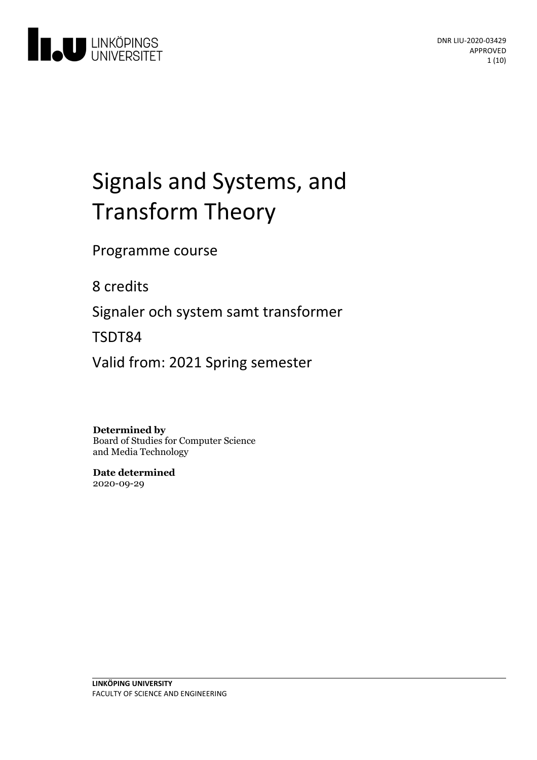

# Signals and Systems, and Transform Theory

Programme course

8 credits

Signaler och system samt transformer

TSDT84

Valid from: 2021 Spring semester

## **Determined by**

Board of Studies for Computer Science and Media Technology

**Date determined** 2020-09-29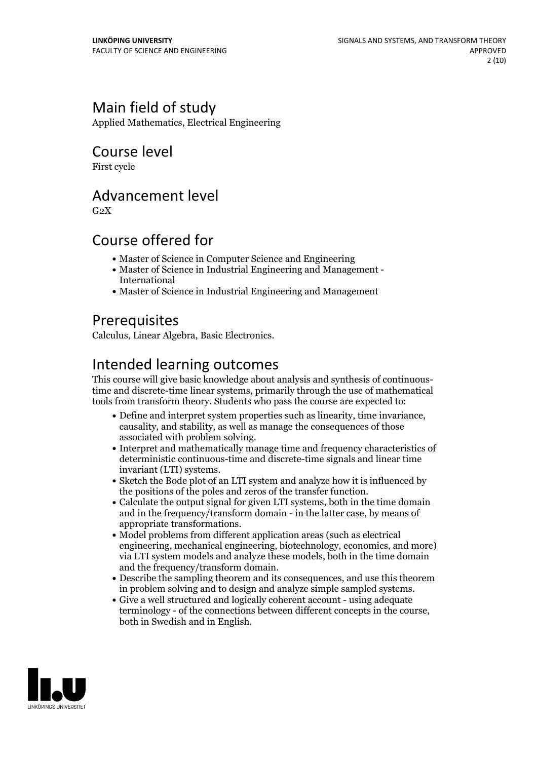# Main field of study

Applied Mathematics, Electrical Engineering

# Course level

First cycle

## Advancement level

 $G<sub>2</sub>X$ 

# Course offered for

- Master of Science in Computer Science and Engineering
- Master of Science in Industrial Engineering and Management International
- Master of Science in Industrial Engineering and Management

# **Prerequisites**

Calculus, Linear Algebra, Basic Electronics.

# Intended learning outcomes

This course will give basic knowledge about analysis and synthesis of continuoustime and discrete-time linear systems, primarily through the use of mathematical tools from transform theory. Students who pass the course are expected to:

- Define and interpret system properties such aslinearity, time invariance, causality, and stability, as well as manage the consequences of those
- associated with problem solving.<br>• Interpret and mathematically manage time and frequency characteristics of deterministic continuous-time and discrete-time signals and linear time
- Sketch the Bode plot of an LTI system and analyze how it is influenced by
- the positions of the poles and zeros of the transfer function.<br>• Calculate the output signal for given LTI systems, both in the time domain and in the frequency/transform domain - in the latter case, by means of appropriate transformations. Model problems from different application areas (such as electrical
- engineering, mechanical engineering, biotechnology, economics, and more) via LTI system models and analyze these models, both in the time domain and the frequency/transform domain.<br>• Describe the sampling theorem and its consequences, and use this theorem
- in problem solving and to design and analyze simple sampled systems. Give <sup>a</sup> well structured and logically coherent account using adequate
- terminology of the connections between different concepts in the course, both in Swedish and in English.

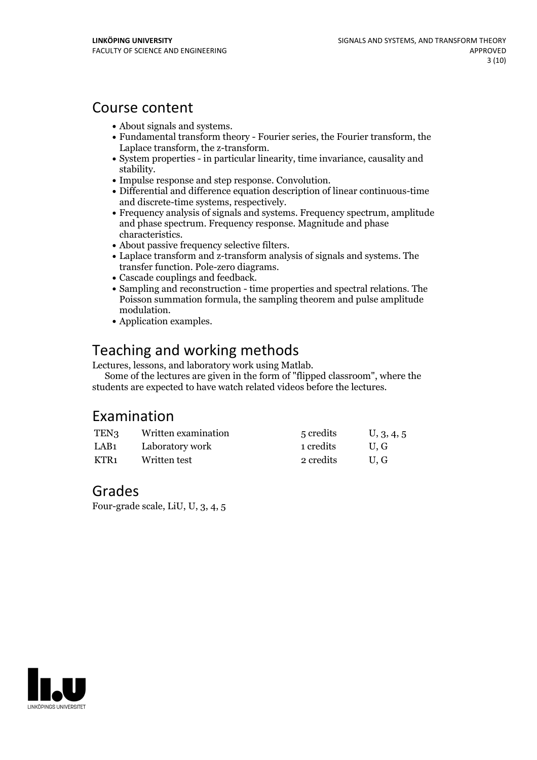## Course content

- 
- About signals and systems.<br>• Fundamental transform theory Fourier series, the Fourier transform, the Laplace transform, the z-transform.
- $\bullet$  System properties in particular linearity, time invariance, causality and
- 
- stability.<br>• Impulse response and step response. Convolution.<br>• Differential and difference equation description of linear continuous-time<br>and discrete-time systems, respectively.
- Frequency analysis of signals and systems. Frequency spectrum, amplitude and phase spectrum. Frequency response. Magnitude and phase
- 
- characteristics. About passive frequency selective filters. Laplace transform and z-transform analysis of signals and systems. The
- 
- Cascade couplings and feedback. <br>• Sampling and reconstruction time properties and spectral relations. The Poisson summation formula, the sampling theorem and pulse amplitude modulation.<br>• Application examples.
- 

# Teaching and working methods<br>Lectures, lessons, and laboratory work using Matlab.

Some of the lectures are given in the form of "flipped classroom", where the students are expected to have watch related videos before the lectures.

# Examination

| TEN <sub>3</sub> | Written examination | 5 credits | U, 3, 4, 5 |
|------------------|---------------------|-----------|------------|
| LAB1             | Laboratory work     | 1 credits | U.G        |
| KTR1             | Written test        | 2 credits | U.G        |

## Grades

Four-grade scale, LiU, U, 3, 4, 5

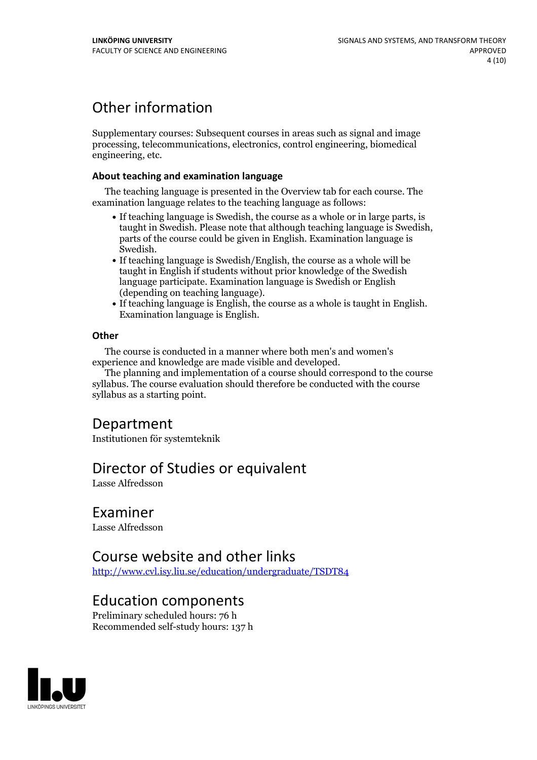# Other information

Supplementary courses: Subsequent courses in areas such as signal and image processing, telecommunications, electronics, control engineering, biomedical engineering, etc.

#### **About teaching and examination language**

The teaching language is presented in the Overview tab for each course. The examination language relates to the teaching language as follows:

- If teaching language is Swedish, the course as a whole or in large parts, is taught in Swedish. Please note that although teaching language is Swedish, parts of the course could be given in English. Examination language is
- Swedish.<br>• If teaching language is Swedish/English, the course as a whole will be taught in English if students without prior knowledge of the Swedish language participate. Examination language is Swedish or English
- $\bullet$  If teaching language is English, the course as a whole is taught in English. Examination language is English.

#### **Other**

The course is conducted in a manner where both men's and women's

experience and knowledge are made visible and developed. The planning and implementation of <sup>a</sup> course should correspond to the course syllabus. The course evaluation should therefore be conducted with the course syllabus as a starting point.

# Department

Institutionen för systemteknik

# Director of Studies or equivalent

Lasse Alfredsson

## Examiner

Lasse Alfredsson

## Course website and other links

<http://www.cvl.isy.liu.se/education/undergraduate/TSDT84>

## Education components

Preliminary scheduled hours: 76 h Recommended self-study hours: 137 h

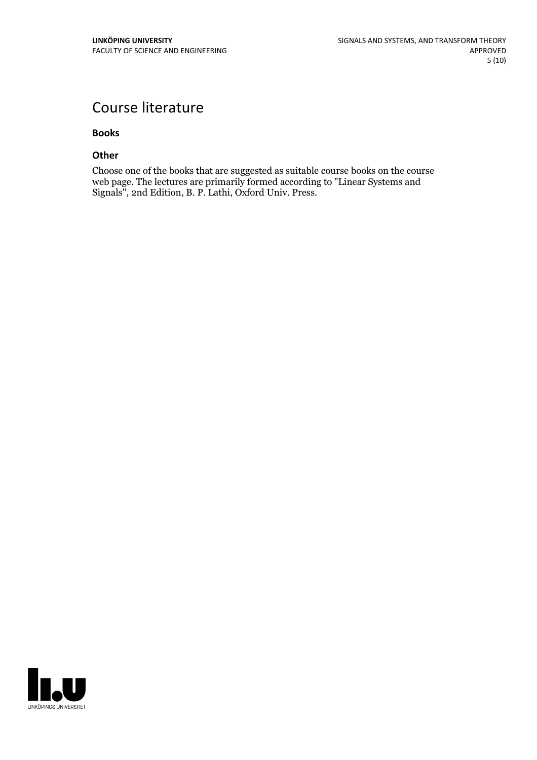# Course literature

#### **Books**

#### **Other**

Choose one of the books that are suggested as suitable course books on the course web page. The lectures are primarily formed according to "Linear Systems and Signals", 2nd Edition, B. P. Lathi, Oxford Univ. Press.

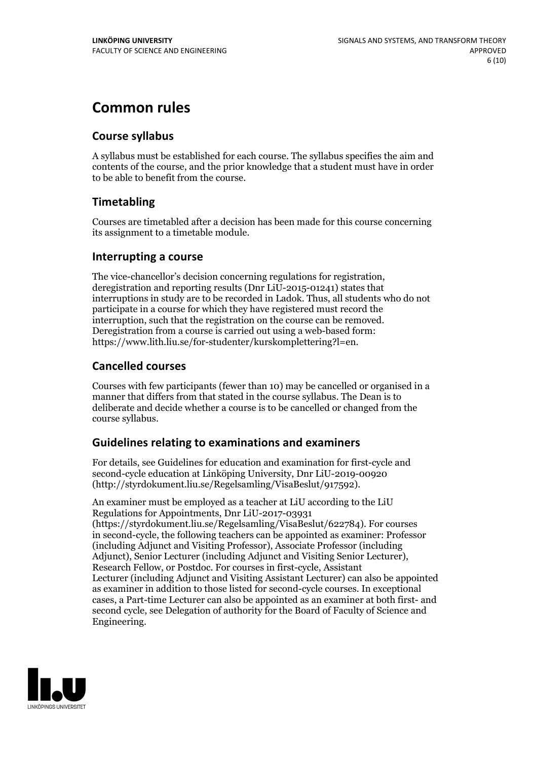# **Common rules**

### **Course syllabus**

A syllabus must be established for each course. The syllabus specifies the aim and contents of the course, and the prior knowledge that a student must have in order to be able to benefit from the course.

## **Timetabling**

Courses are timetabled after a decision has been made for this course concerning its assignment to a timetable module.

### **Interrupting a course**

The vice-chancellor's decision concerning regulations for registration, deregistration and reporting results (Dnr LiU-2015-01241) states that interruptions in study are to be recorded in Ladok. Thus, all students who do not participate in a course for which they have registered must record the interruption, such that the registration on the course can be removed. Deregistration from <sup>a</sup> course is carried outusing <sup>a</sup> web-based form: https://www.lith.liu.se/for-studenter/kurskomplettering?l=en.

## **Cancelled courses**

Courses with few participants (fewer than 10) may be cancelled or organised in a manner that differs from that stated in the course syllabus. The Dean is to deliberate and decide whether a course is to be cancelled or changed from the course syllabus.

## **Guidelines relatingto examinations and examiners**

For details, see Guidelines for education and examination for first-cycle and second-cycle education at Linköping University, Dnr LiU-2019-00920 (http://styrdokument.liu.se/Regelsamling/VisaBeslut/917592).

An examiner must be employed as a teacher at LiU according to the LiU Regulations for Appointments, Dnr LiU-2017-03931 (https://styrdokument.liu.se/Regelsamling/VisaBeslut/622784). For courses in second-cycle, the following teachers can be appointed as examiner: Professor (including Adjunct and Visiting Professor), Associate Professor (including Adjunct), Senior Lecturer (including Adjunct and Visiting Senior Lecturer), Research Fellow, or Postdoc. For courses in first-cycle, Assistant Lecturer (including Adjunct and Visiting Assistant Lecturer) can also be appointed as examiner in addition to those listed for second-cycle courses. In exceptional cases, a Part-time Lecturer can also be appointed as an examiner at both first- and second cycle, see Delegation of authority for the Board of Faculty of Science and Engineering.

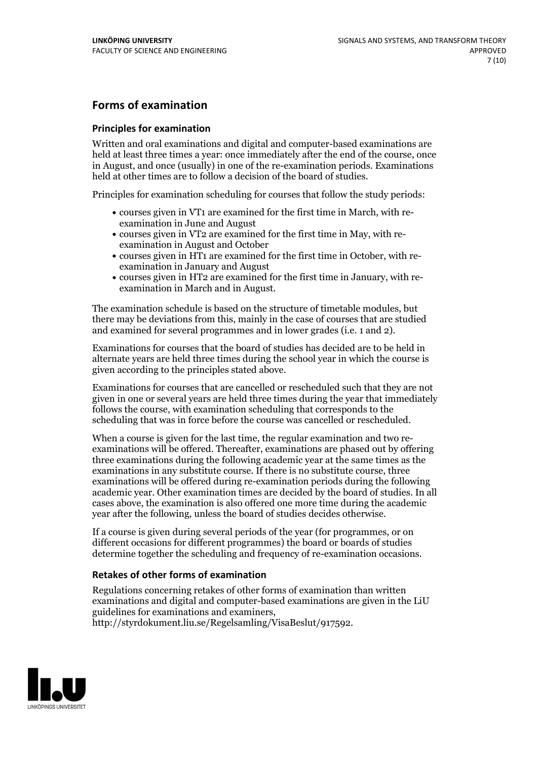## **Forms of examination**

#### **Principles for examination**

Written and oral examinations and digital and computer-based examinations are held at least three times a year: once immediately after the end of the course, once in August, and once (usually) in one of the re-examination periods. Examinations held at other times are to follow a decision of the board of studies.

Principles for examination scheduling for courses that follow the study periods:

- courses given in VT1 are examined for the first time in March, with re-examination in June and August
- courses given in VT2 are examined for the first time in May, with re-examination in August and October
- courses given in HT1 are examined for the first time in October, with re-examination in January and August
- courses given in HT2 are examined for the first time in January, with re-examination in March and in August.

The examination schedule is based on the structure of timetable modules, but there may be deviations from this, mainly in the case of courses that are studied and examined for several programmes and in lower grades (i.e. 1 and 2).

Examinations for courses that the board of studies has decided are to be held in alternate years are held three times during the school year in which the course is given according to the principles stated above.

Examinations for courses that are cancelled orrescheduled such that they are not given in one or several years are held three times during the year that immediately follows the course, with examination scheduling that corresponds to the scheduling that was in force before the course was cancelled or rescheduled.

When a course is given for the last time, the regular examination and two re-<br>examinations will be offered. Thereafter, examinations are phased out by offering three examinations during the following academic year at the same times as the examinations in any substitute course. If there is no substitute course, three examinations will be offered during re-examination periods during the following academic year. Other examination times are decided by the board of studies. In all cases above, the examination is also offered one more time during the academic year after the following, unless the board of studies decides otherwise.

If a course is given during several periods of the year (for programmes, or on different occasions for different programmes) the board or boards of studies determine together the scheduling and frequency of re-examination occasions.

#### **Retakes of other forms of examination**

Regulations concerning retakes of other forms of examination than written examinations and digital and computer-based examinations are given in the LiU guidelines for examinations and examiners, http://styrdokument.liu.se/Regelsamling/VisaBeslut/917592.

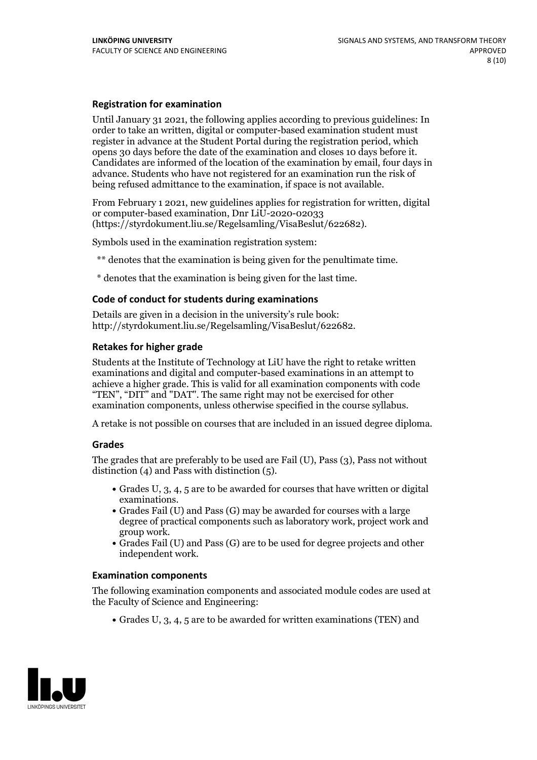#### **Registration for examination**

Until January 31 2021, the following applies according to previous guidelines: In order to take an written, digital or computer-based examination student must register in advance at the Student Portal during the registration period, which Candidates are informed of the location of the examination by email, four days in advance. Students who have not registered for an examination run the risk of being refused admittance to the examination, if space is not available.

From February 1 2021, new guidelines applies for registration for written, digital or computer-based examination, Dnr LiU-2020-02033 (https://styrdokument.liu.se/Regelsamling/VisaBeslut/622682).

Symbols used in the examination registration system:

\*\* denotes that the examination is being given for the penultimate time.

\* denotes that the examination is being given for the last time.

#### **Code of conduct for students during examinations**

Details are given in a decision in the university's rule book: http://styrdokument.liu.se/Regelsamling/VisaBeslut/622682.

#### **Retakes for higher grade**

Students at the Institute of Technology at LiU have the right to retake written examinations and digital and computer-based examinations in an attempt to achieve a higher grade. This is valid for all examination components with code "TEN", "DIT" and "DAT". The same right may not be exercised for other examination components, unless otherwise specified in the course syllabus.

A retake is not possible on courses that are included in an issued degree diploma.

#### **Grades**

The grades that are preferably to be used are Fail (U), Pass (3), Pass not without distinction  $(4)$  and Pass with distinction  $(5)$ .

- Grades U, 3, 4, 5 are to be awarded for courses that have written or digital examinations.<br>• Grades Fail (U) and Pass (G) may be awarded for courses with a large
- degree of practical components such as laboratory work, project work and
- $\bullet$  Grades Fail (U) and Pass (G) are to be used for degree projects and other independent work.

#### **Examination components**

The following examination components and associated module codes are used at the Faculty of Science and Engineering:

Grades U, 3, 4, 5 are to be awarded for written examinations (TEN) and

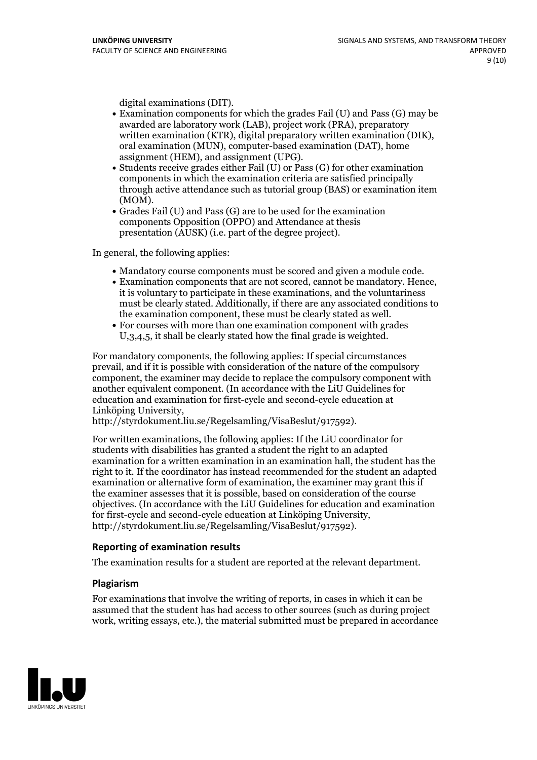- digital examinations (DIT).<br>• Examination components for which the grades Fail (U) and Pass (G) may be awarded are laboratory work (LAB), project work (PRA), preparatory written examination (KTR), digital preparatory written examination (DIK), oral examination (MUN), computer-based examination (DAT), home
- assignment (HEM), and assignment (UPG).<br>• Students receive grades either Fail (U) or Pass (G) for other examination components in which the examination criteria are satisfied principally through active attendance such as tutorial group (BAS) or examination item
- (MOM).<br>• Grades Fail (U) and Pass (G) are to be used for the examination components Opposition (OPPO) and Attendance at thesis presentation (AUSK) (i.e. part of the degree project).

In general, the following applies:

- 
- Mandatory course components must be scored and given <sup>a</sup> module code. Examination components that are not scored, cannot be mandatory. Hence, it is voluntary to participate in these examinations, and the voluntariness must be clearly stated. Additionally, if there are any associated conditions to the examination component, these must be clearly stated as well.<br>• For courses with more than one examination component with grades
- U,3,4,5, it shall be clearly stated how the final grade is weighted.

For mandatory components, the following applies: If special circumstances prevail, and if it is possible with consideration of the nature ofthe compulsory component, the examiner may decide to replace the compulsory component with another equivalent component. (In accordance with the LiU Guidelines for education and examination for first-cycle and second-cycle education at Linköping University, http://styrdokument.liu.se/Regelsamling/VisaBeslut/917592).

For written examinations, the following applies: If the LiU coordinator for students with disabilities has granted a student the right to an adapted examination for a written examination in an examination hall, the student has the right to it. If the coordinator has instead recommended for the student an adapted examination or alternative form of examination, the examiner may grant this if the examiner assesses that it is possible, based on consideration of the course objectives. (In accordance with the LiU Guidelines for education and examination for first-cycle and second-cycle education at Linköping University, http://styrdokument.liu.se/Regelsamling/VisaBeslut/917592).

#### **Reporting of examination results**

The examination results for a student are reported at the relevant department.

#### **Plagiarism**

For examinations that involve the writing of reports, in cases in which it can be assumed that the student has had access to other sources (such as during project work, writing essays, etc.), the material submitted must be prepared in accordance